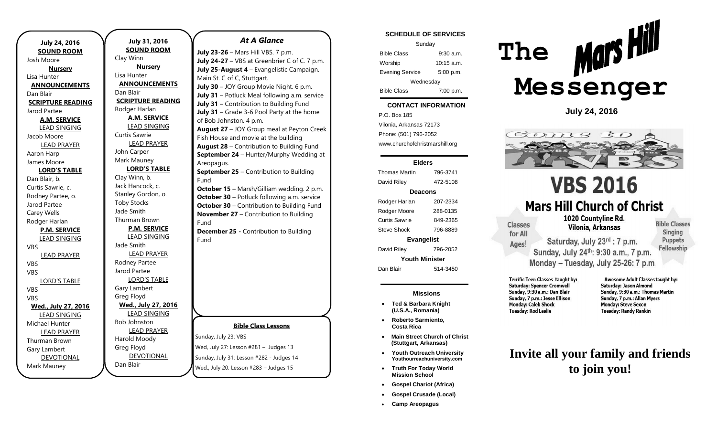|                                 | <b>July 31, 20</b>  |
|---------------------------------|---------------------|
| <b>July 24, 2016</b>            | <b>SOUND RO</b>     |
| <b>SOUND ROOM</b><br>Josh Moore | Clay Winn           |
|                                 | <b>Nursery</b>      |
| <b>Nursery</b><br>Lisa Hunter   | Lisa Hunter         |
| <b>ANNOUNCEMENTS</b>            | <b>ANNOUNCEM</b>    |
| Dan Blair                       | Dan Blair           |
| <b>SCRIPTURE READING</b>        | <b>SCRIPTURE RE</b> |
| Jarod Partee                    | Rodger Harlan       |
| <b>A.M. SERVICE</b>             | A.M. SERV           |
| <b>LEAD SINGING</b>             | <b>LEAD SINGI</b>   |
| Jacob Moore                     | Curtis Sawrie       |
| <b>LEAD PRAYER</b>              | <b>LEAD PRAY</b>    |
| Aaron Harp                      | John Carper         |
| James Moore                     | Mark Mauney         |
| <b>LORD'S TABLE</b>             | <b>LORD'S TA</b>    |
| Dan Blair, b.                   | Clay Winn, b.       |
| Curtis Sawrie, c.               | Jack Hancock, c.    |
| Rodney Partee, o.               | Stanley Gordon,     |
| Jarod Partee                    | <b>Toby Stocks</b>  |
| Carey Wells                     | Jade Smith          |
| Rodger Harlan                   | Thurman Brown       |
| <b>P.M. SERVICE</b>             | <b>P.M. SERV</b>    |
| <b>LEAD SINGING</b>             | <b>LEAD SINGI</b>   |
| VBS                             | Jade Smith          |
| <b>LEAD PRAYER</b>              | <b>LEAD PRAY</b>    |
| VBS                             | Rodney Partee       |
| VBS                             | Jarod Partee        |
| <b>LORD'S TABLE</b>             | <b>LORD'S TAI</b>   |
| VBS                             | Gary Lambert        |
| <b>VBS</b>                      | Greg Floyd          |
| Wed., July 27, 2016             | Wed., July 27       |
| <b>LEAD SINGING</b>             | <b>LEAD SING</b>    |
| Michael Hunter                  | <b>Bob Johnston</b> |
| <b>LEAD PRAYER</b>              | <b>LEAD PRAY</b>    |
| <b>Thurman Brown</b>            | Harold Moody        |
| Gary Lambert                    | Greg Floyd          |
| <b>DEVOTIONAL</b>               | <b>DEVOTION</b>     |
| Mark Mauney                     | Dan Blair           |
|                                 |                     |

### **July 31, 2016 SOOM Nursery** <u>EMENTS</u> **READING A.M. SERVICE** GING AYER **ABLE** C. n, o. **P.M.** GING AYER **ABLE Wed., July 27, 2016 GING AYER NAL** Sunday, July 23: VBS Wed, July 27: Lesson #281 – Judges 13 Sunday, July 31: Lesson #282 - Judges 14 *At A Glance*  **July 23-26** – Mars Hill VBS. 7 p.m. **July 24-27** – VBS at Greenbrier C of C. 7 p.m. **July 25-August 4** – Evangelistic Campaign. Main St. C of C, Stuttgart. **July 30** – JOY Group Movie Night. 6 p.m. **July 31** – Potluck Meal following a.m. service of Bob Johnston. 4 p.m. Areopagus. Fund Fund Fund

**Bible Class Lessons July 31** – Contribution to Building Fund **July 31** – Grade 3-6 Pool Party at the home **August 27** – JOY Group meal at Peyton Creek Fish House and movie at the building **August 28** – Contribution to Building Fund **September 24** – Hunter/Murphy Wedding at **September 25** – Contribution to Building **October 15** – Marsh/Gilliam wedding. 2 p.m. **October 30** – Potluck following a.m. service **October 30** – Contribution to Building Fund **November 27** – Contribution to Building **December 25 -** Contribution to Building

Wed., July 20: Lesson #283 – Judges 15

### **SCHEDULE OF SERVICES**

| Sunday                 |              |  |
|------------------------|--------------|--|
| <b>Bible Class</b>     | 9:30a.m.     |  |
| Worship                | $10:15$ a.m. |  |
| <b>Evening Service</b> | 5:00 p.m.    |  |
| Wednesday              |              |  |
| <b>Bible Class</b>     | 7:00 p.m.    |  |

#### tuesday. **CONTACT INFORMATION**

. .o. Box 100<br>Vilonia, Arkansas 72173 P.O. Box 185 Phone: (501) 796-2052 www.churchofchristmarshill.org

### **Elders**

Thomas Martin 796-3741 David Riley 472-5108 **Deacons** Rodger Harlan 207-2334 Rodger Moore 288-0135 Curtis Sawrie 849-2365 Steve Shock 796-8889 **Evangelist** David Riley 796-2052 **Youth Minister** Dan Blair 514-3450

### **Missions**

- **Ted & Barbara Knight (U.S.A., Romania)**
- **Roberto Sarmiento, Costa Rica**
- **Main Street Church of Christ (Stuttgart, Arkansas)**
- **Youth Outreach University Youthourreachuniversity.com**
- **Truth For Today World Mission School**
- **Gospel Chariot (Africa)**
- **Gospel Crusade (Local)**
- **Camp Areopagus**



**July 24, 2016**



# **VBS 2016 Mars Hill Church of Christ**

Monday - Tuesday, July 25-26: 7 p.m.

1020 Countvline Rd. **Classes** Vilonia, Arkansas for All Saturday, July 23rd : 7 p.m. Ages!

**Bible Classes** Singing **Puppets** Fellowship Sunday, July 24th: 9:30 a.m., 7 p.m.

Terrific Teen Classes taught by: **Saturday: Spencer Cromwell** Sunday, 9:30 a.m.: Dan Blair Sunday, 7 p.m.: Jesse Ellison **Monday: Caleb Shock Tuesday: Rod Leslie** 

Awesome Adult Classes taught by: Saturday: Jason Almond Sunday, 9:30 a.m.: Thomas Martin Sunday, 7 p.m.: Allan Myers **Monday: Steve Sexon Tuesday: Randy Rankin** 

## **Invite all your family and friends to join you!**